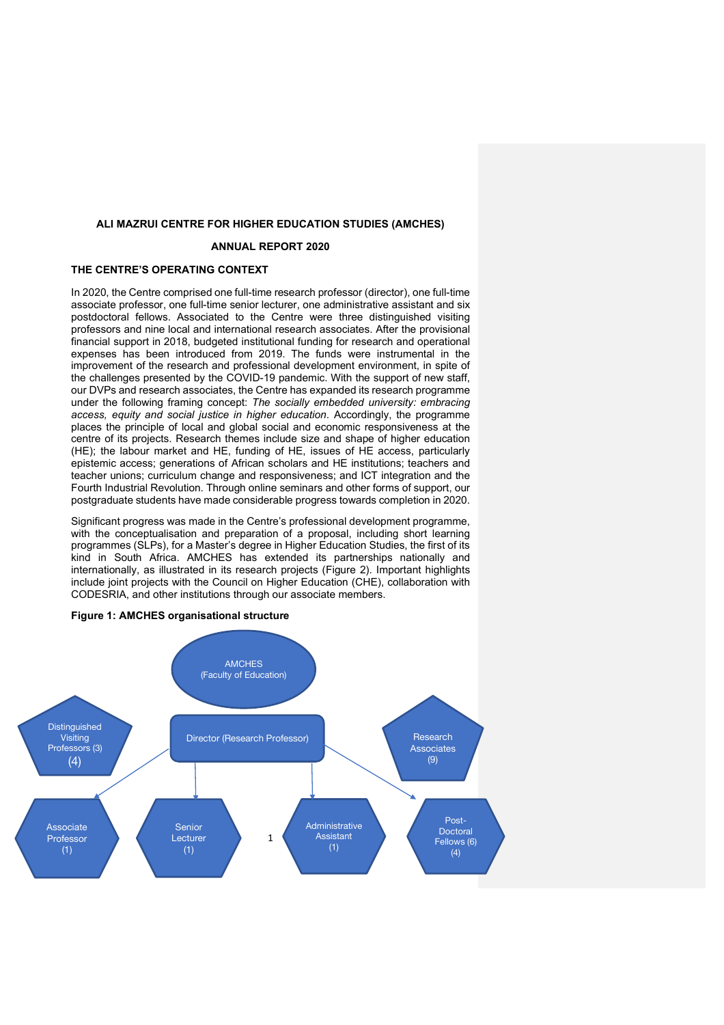#### **ALI MAZRUI CENTRE FOR HIGHER EDUCATION STUDIES (AMCHES)**

## **ANNUAL REPORT 2020**

#### **THE CENTRE'S OPERATING CONTEXT**

In 2020, the Centre comprised one full-time research professor (director), one full-time associate professor, one full-time senior lecturer, one administrative assistant and six postdoctoral fellows. Associated to the Centre were three distinguished visiting professors and nine local and international research associates. After the provisional financial support in 2018, budgeted institutional funding for research and operational expenses has been introduced from 2019. The funds were instrumental in the improvement of the research and professional development environment, in spite of the challenges presented by the COVID-19 pandemic. With the support of new staff, our DVPs and research associates, the Centre has expanded its research programme under the following framing concept: *The socially embedded university: embracing access, equity and social justice in higher education*. Accordingly, the programme places the principle of local and global social and economic responsiveness at the centre of its projects. Research themes include size and shape of higher education (HE); the labour market and HE, funding of HE, issues of HE access, particularly epistemic access; generations of African scholars and HE institutions; teachers and teacher unions; curriculum change and responsiveness; and ICT integration and the Fourth Industrial Revolution. Through online seminars and other forms of support, our postgraduate students have made considerable progress towards completion in 2020.

Significant progress was made in the Centre's professional development programme, with the conceptualisation and preparation of a proposal, including short learning programmes (SLPs), for a Master's degree in Higher Education Studies, the first of its kind in South Africa. AMCHES has extended its partnerships nationally and internationally, as illustrated in its research projects (Figure 2). Important highlights include joint projects with the Council on Higher Education (CHE), collaboration with CODESRIA, and other institutions through our associate members.



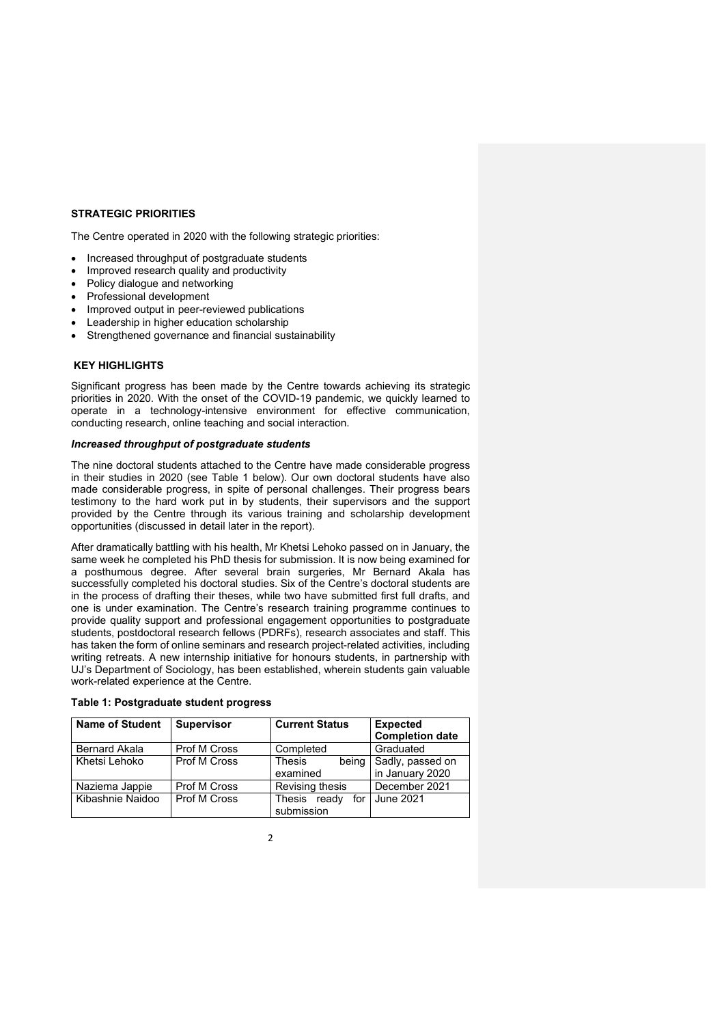### **STRATEGIC PRIORITIES**

The Centre operated in 2020 with the following strategic priorities:

- Increased throughput of postgraduate students
- Improved research quality and productivity
- Policy dialogue and networking
- Professional development
- Improved output in peer-reviewed publications
- Leadership in higher education scholarship
- Strengthened governance and financial sustainability

## **KEY HIGHLIGHTS**

Significant progress has been made by the Centre towards achieving its strategic priorities in 2020. With the onset of the COVID-19 pandemic, we quickly learned to operate in a technology-intensive environment for effective communication, conducting research, online teaching and social interaction.

#### *Increased throughput of postgraduate students*

The nine doctoral students attached to the Centre have made considerable progress in their studies in 2020 (see Table 1 below). Our own doctoral students have also made considerable progress, in spite of personal challenges. Their progress bears testimony to the hard work put in by students, their supervisors and the support provided by the Centre through its various training and scholarship development opportunities (discussed in detail later in the report).

After dramatically battling with his health, Mr Khetsi Lehoko passed on in January, the same week he completed his PhD thesis for submission. It is now being examined for a posthumous degree. After several brain surgeries, Mr Bernard Akala has successfully completed his doctoral studies. Six of the Centre's doctoral students are in the process of drafting their theses, while two have submitted first full drafts, and one is under examination. The Centre's research training programme continues to provide quality support and professional engagement opportunities to postgraduate students, postdoctoral research fellows (PDRFs), research associates and staff. This has taken the form of online seminars and research project-related activities, including writing retreats. A new internship initiative for honours students, in partnership with UJ's Department of Sociology, has been established, wherein students gain valuable work-related experience at the Centre.

| <b>Name of Student</b> | <b>Supervisor</b> | <b>Current Status</b>             | <b>Expected</b><br><b>Completion date</b> |
|------------------------|-------------------|-----------------------------------|-------------------------------------------|
| Bernard Akala          | Prof M Cross      | Completed                         | Graduated                                 |
| Khetsi Lehoko          | Prof M Cross      | Thesis<br>being<br>examined       | Sadly, passed on<br>in January 2020       |
| Naziema Jappie         | Prof M Cross      | Revising thesis                   | December 2021                             |
| Kibashnie Naidoo       | Prof M Cross      | Thesis ready<br>for<br>submission | June 2021                                 |

#### **Table 1: Postgraduate student progress**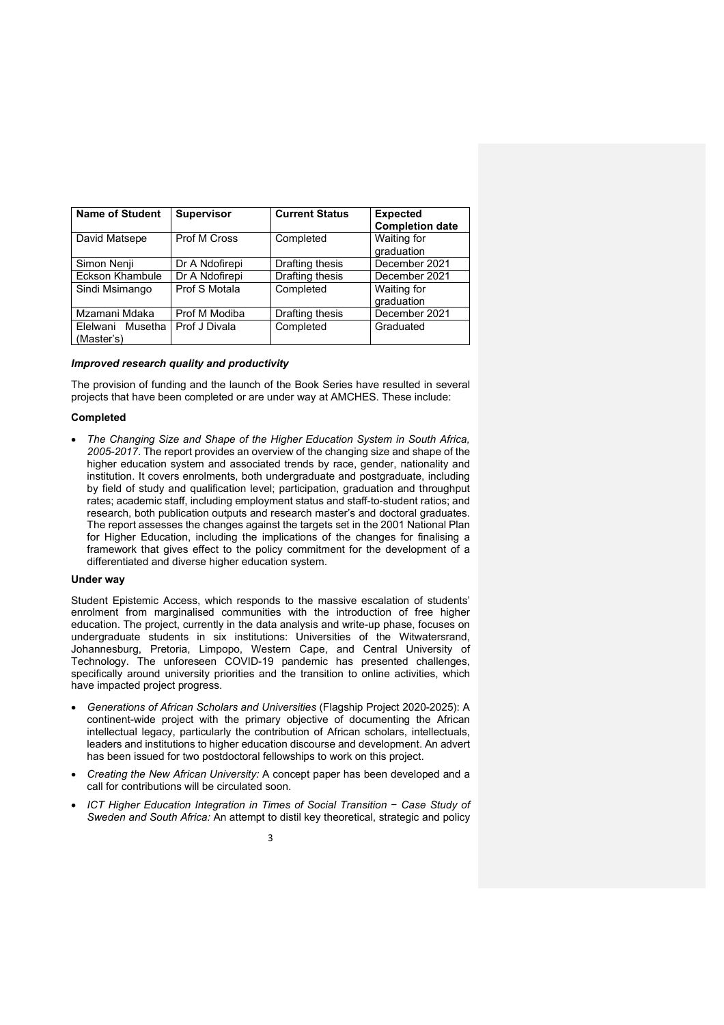| <b>Name of Student</b>         | <b>Supervisor</b>         | <b>Current Status</b> | <b>Expected</b><br><b>Completion date</b> |  |
|--------------------------------|---------------------------|-----------------------|-------------------------------------------|--|
| David Matsepe                  | Prof M Cross<br>Completed |                       | Waiting for<br>graduation                 |  |
| Simon Nenji                    | Dr A Ndofirepi            | Drafting thesis       | December 2021                             |  |
| Eckson Khambule                | Dr A Ndofirepi            | Drafting thesis       | December 2021                             |  |
| Sindi Msimango                 | Prof S Motala             | Completed             | Waiting for<br>graduation                 |  |
| Mzamani Mdaka                  | Prof M Modiba             | Drafting thesis       | December 2021                             |  |
| Elelwani Musetha<br>(Master's) | Prof J Divala             | Completed             | Graduated                                 |  |

#### *Improved research quality and productivity*

The provision of funding and the launch of the Book Series have resulted in several projects that have been completed or are under way at AMCHES. These include:

#### **Completed**

• *The Changing Size and Shape of the Higher Education System in South Africa, 2005-2017*. The report provides an overview of the changing size and shape of the higher education system and associated trends by race, gender, nationality and institution. It covers enrolments, both undergraduate and postgraduate, including by field of study and qualification level; participation, graduation and throughput rates; academic staff, including employment status and staff-to-student ratios; and research, both publication outputs and research master's and doctoral graduates. The report assesses the changes against the targets set in the 2001 National Plan for Higher Education, including the implications of the changes for finalising a framework that gives effect to the policy commitment for the development of a differentiated and diverse higher education system.

#### **Under way**

Student Epistemic Access, which responds to the massive escalation of students' enrolment from marginalised communities with the introduction of free higher education. The project, currently in the data analysis and write-up phase, focuses on undergraduate students in six institutions: Universities of the Witwatersrand, Johannesburg, Pretoria, Limpopo, Western Cape, and Central University of Technology. The unforeseen COVID-19 pandemic has presented challenges, specifically around university priorities and the transition to online activities, which have impacted project progress.

- *Generations of African Scholars and Universities* (Flagship Project 2020-2025): A continent-wide project with the primary objective of documenting the African intellectual legacy, particularly the contribution of African scholars, intellectuals, leaders and institutions to higher education discourse and development. An advert has been issued for two postdoctoral fellowships to work on this project.
- *Creating the New African University:* A concept paper has been developed and a call for contributions will be circulated soon.
- *ICT Higher Education Integration in Times of Social Transition* − *Case Study of Sweden and South Africa:* An attempt to distil key theoretical, strategic and policy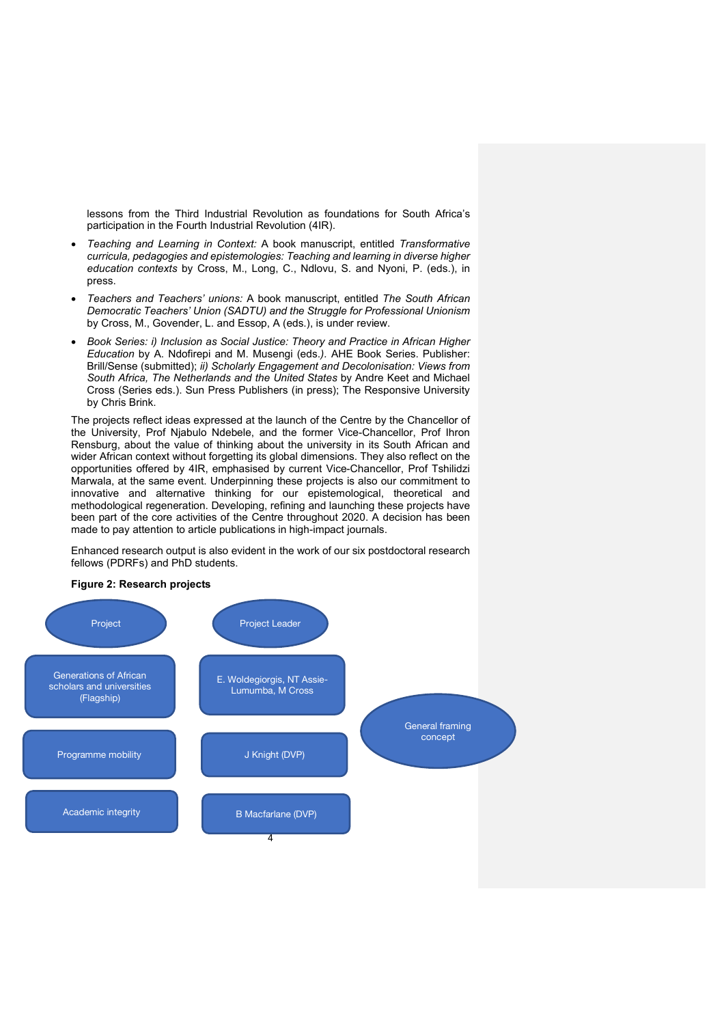lessons from the Third Industrial Revolution as foundations for South Africa's participation in the Fourth Industrial Revolution (4IR).

- *Teaching and Learning in Context:* A book manuscript, entitled *Transformative curricula, pedagogies and epistemologies: Teaching and learning in diverse higher education contexts* by Cross, M., Long, C., Ndlovu, S. and Nyoni, P. (eds.), in press.
- *Teachers and Teachers' unions:* A book manuscript, entitled *The South African Democratic Teachers' Union (SADTU) and the Struggle for Professional Unionism* by Cross, M., Govender, L. and Essop, A (eds.), is under review.
- *Book Series: i) Inclusion as Social Justice: Theory and Practice in African Higher Education* by A. Ndofirepi and M. Musengi (eds.*).* AHE Book Series. Publisher: Brill/Sense (submitted); *ii) Scholarly Engagement and Decolonisation: Views from South Africa, The Netherlands and the United States* by Andre Keet and Michael Cross (Series eds.). Sun Press Publishers (in press); The Responsive University by Chris Brink.

The projects reflect ideas expressed at the launch of the Centre by the Chancellor of the University, Prof Njabulo Ndebele, and the former Vice-Chancellor, Prof Ihron Rensburg, about the value of thinking about the university in its South African and wider African context without forgetting its global dimensions. They also reflect on the opportunities offered by 4IR, emphasised by current Vice-Chancellor, Prof Tshilidzi Marwala, at the same event. Underpinning these projects is also our commitment to innovative and alternative thinking for our epistemological, theoretical and methodological regeneration. Developing, refining and launching these projects have been part of the core activities of the Centre throughout 2020. A decision has been made to pay attention to article publications in high-impact journals.

Enhanced research output is also evident in the work of our six postdoctoral research fellows (PDRFs) and PhD students.

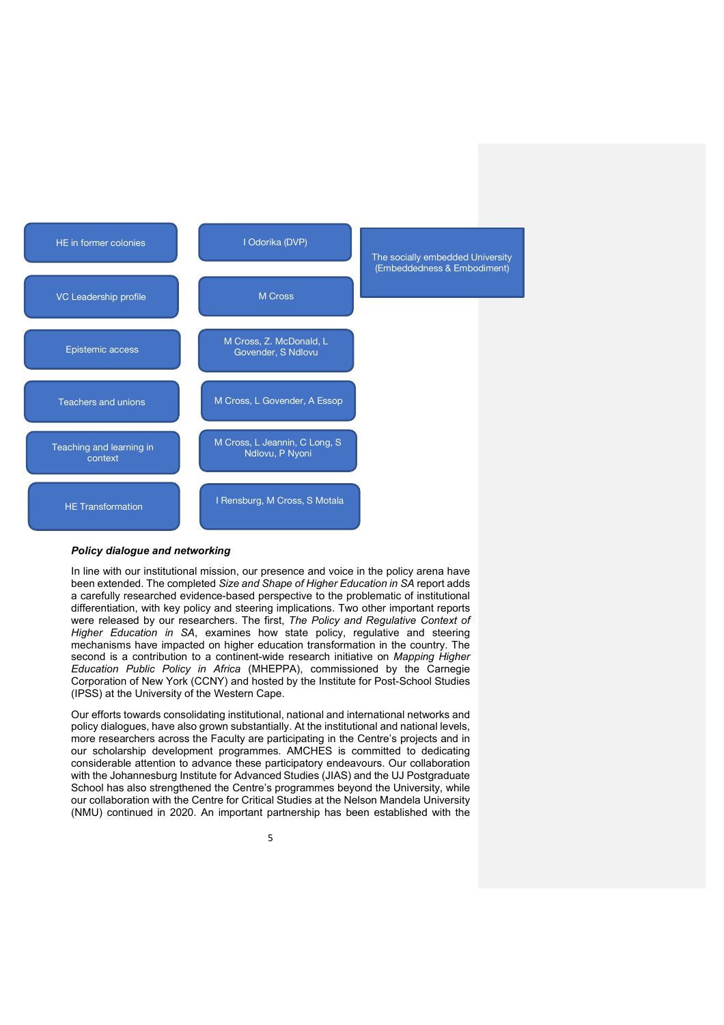

### *Policy dialogue and networking*

In line with our institutional mission, our presence and voice in the policy arena have been extended. The completed *Size and Shape of Higher Education in SA* report adds a carefully researched evidence-based perspective to the problematic of institutional differentiation, with key policy and steering implications. Two other important reports were released by our researchers. The first, *The Policy and Regulative Context of Higher Education in SA*, examines how state policy, regulative and steering mechanisms have impacted on higher education transformation in the country. The second is a contribution to a continent-wide research initiative on *Mapping Higher Education Public Policy in Africa* (MHEPPA), commissioned by the Carnegie Corporation of New York (CCNY) and hosted by the Institute for Post-School Studies (IPSS) at the University of the Western Cape.

Our efforts towards consolidating institutional, national and international networks and policy dialogues, have also grown substantially. At the institutional and national levels, more researchers across the Faculty are participating in the Centre's projects and in our scholarship development programmes. AMCHES is committed to dedicating considerable attention to advance these participatory endeavours. Our collaboration with the Johannesburg Institute for Advanced Studies (JIAS) and the UJ Postgraduate School has also strengthened the Centre's programmes beyond the University, while our collaboration with the Centre for Critical Studies at the Nelson Mandela University (NMU) continued in 2020. An important partnership has been established with the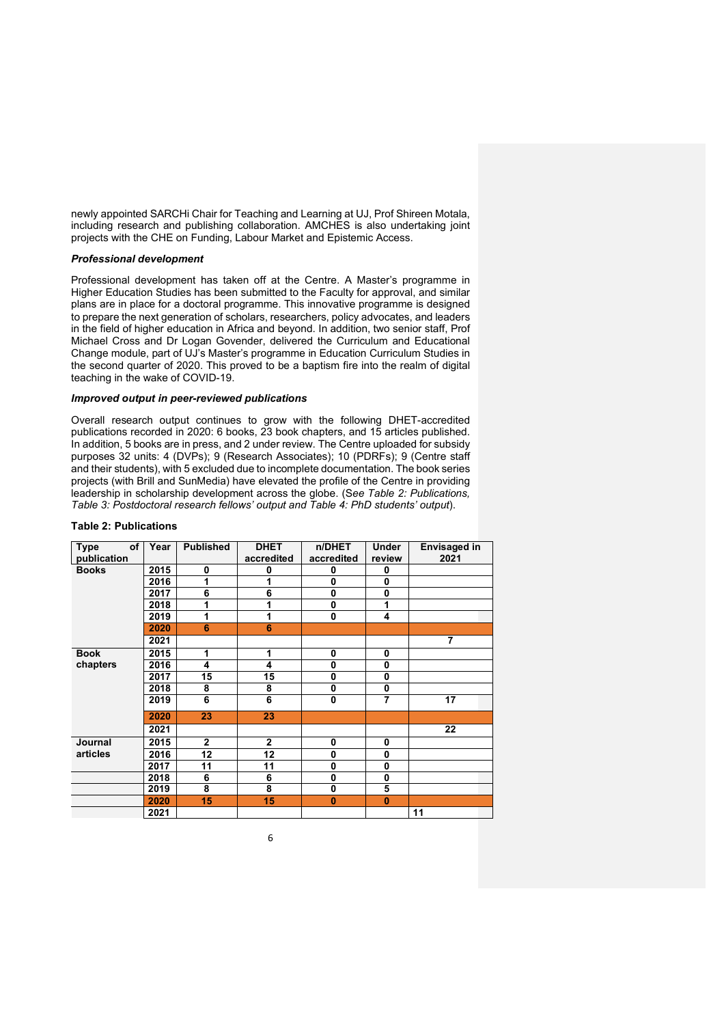newly appointed SARCHi Chair for Teaching and Learning at UJ, Prof Shireen Motala, including research and publishing collaboration. AMCHES is also undertaking joint projects with the CHE on Funding, Labour Market and Epistemic Access.

#### *Professional development*

Professional development has taken off at the Centre. A Master's programme in Higher Education Studies has been submitted to the Faculty for approval, and similar plans are in place for a doctoral programme. This innovative programme is designed to prepare the next generation of scholars, researchers, policy advocates, and leaders in the field of higher education in Africa and beyond. In addition, two senior staff, Prof Michael Cross and Dr Logan Govender, delivered the Curriculum and Educational Change module, part of UJ's Master's programme in Education Curriculum Studies in the second quarter of 2020. This proved to be a baptism fire into the realm of digital teaching in the wake of COVID-19.

## *Improved output in peer-reviewed publications*

Overall research output continues to grow with the following DHET-accredited publications recorded in 2020: 6 books, 23 book chapters, and 15 articles published. In addition, 5 books are in press, and 2 under review. The Centre uploaded for subsidy purposes 32 units: 4 (DVPs); 9 (Research Associates); 10 (PDRFs); 9 (Centre staff and their students), with 5 excluded due to incomplete documentation. The book series projects (with Brill and SunMedia) have elevated the profile of the Centre in providing leadership in scholarship development across the globe. (S*ee Table 2: Publications, Table 3: Postdoctoral research fellows' output and Table 4: PhD students' output*).

| of  <br><b>Type</b><br>publication | Year | <b>Published</b> | <b>DHET</b><br>accredited | n/DHET<br>accredited | <b>Under</b><br>review | <b>Envisaged in</b><br>2021 |
|------------------------------------|------|------------------|---------------------------|----------------------|------------------------|-----------------------------|
| <b>Books</b>                       | 2015 | 0                | 0                         | 0                    | 0                      |                             |
|                                    | 2016 | 1                |                           | $\bf{0}$             | 0                      |                             |
|                                    | 2017 | 6                | 6                         | $\bf{0}$             | 0                      |                             |
|                                    | 2018 | 1                |                           | $\bf{0}$             | 1                      |                             |
|                                    | 2019 | 1                |                           | $\bf{0}$             | 4                      |                             |
|                                    | 2020 | 6                | 6                         |                      |                        |                             |
|                                    | 2021 |                  |                           |                      |                        | 7                           |
| <b>Book</b>                        | 2015 | 1                | 1                         | $\bf{0}$             | 0                      |                             |
| chapters                           | 2016 | 4                | 4                         | $\bf{0}$             | 0                      |                             |
|                                    | 2017 | 15               | 15                        | $\bf{0}$             | 0                      |                             |
|                                    | 2018 | 8                | 8                         | $\bf{0}$             | 0                      |                             |
|                                    | 2019 | 6                | 6                         | $\bf{0}$             | 7                      | 17                          |
|                                    | 2020 | 23               | 23                        |                      |                        |                             |
|                                    | 2021 |                  |                           |                      |                        | 22                          |
| Journal                            | 2015 | $\overline{2}$   | $\mathbf{2}$              | $\bf{0}$             | 0                      |                             |
| articles                           | 2016 | 12               | 12                        | $\bf{0}$             | 0                      |                             |
|                                    | 2017 | 11               | 11                        | $\bf{0}$             | 0                      |                             |
|                                    | 2018 | 6                | 6                         | $\bf{0}$             | 0                      |                             |
|                                    | 2019 | 8                | 8                         | $\bf{0}$             | 5                      |                             |
|                                    | 2020 | 15               | 15                        | $\bf{0}$             | $\bf{0}$               |                             |
|                                    | 2021 |                  |                           |                      |                        | 11                          |

#### **Table 2: Publications**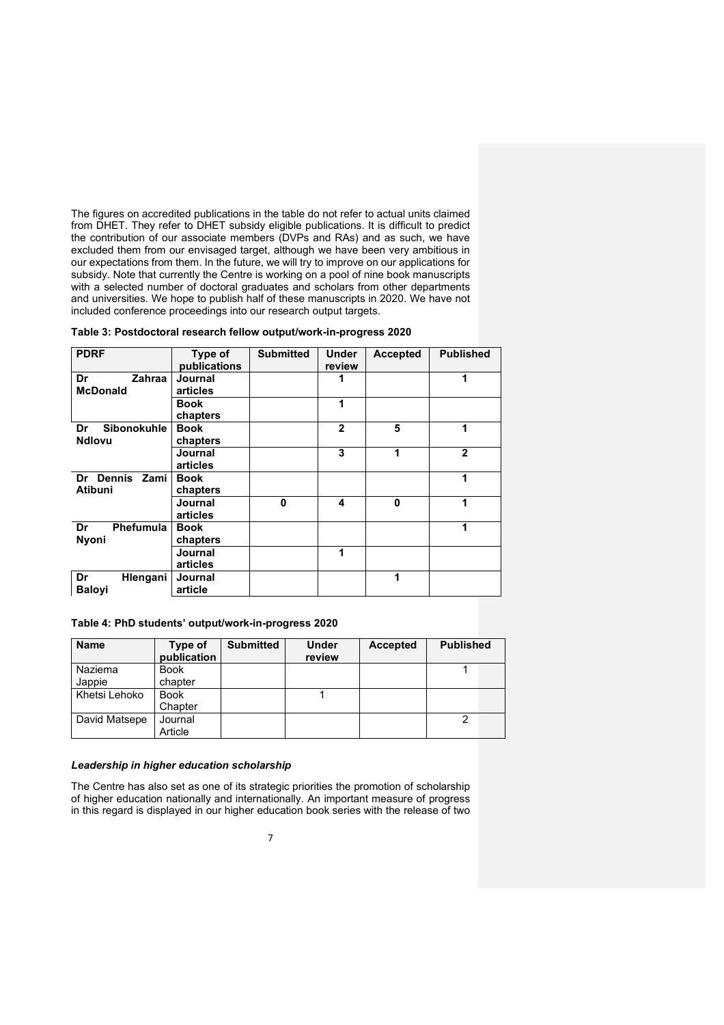The figures on accredited publications in the table do not refer to actual units claimed from DHET. They refer to DHET subsidy eligible publications. It is difficult to predict the contribution of our associate members (DVPs and RAs) and as such, we have excluded them from our envisaged target, although we have been very ambitious in our expectations from them. In the future, we will try to improve on our applications for subsidy. Note that currently the Centre is working on a pool of nine book manuscripts with a selected number of doctoral graduates and scholars from other departments and universities. We hope to publish half of these manuscripts in 2020. We have not included conference proceedings into our research output targets.

|  |  | Table 3: Postdoctoral research fellow output/work-in-progress 2020 |  |  |  |
|--|--|--------------------------------------------------------------------|--|--|--|
|  |  |                                                                    |  |  |  |

| <b>PDRF</b>                                   | Type of<br>publications | <b>Submitted</b> | <b>Under</b><br>review | <b>Accepted</b> | <b>Published</b> |
|-----------------------------------------------|-------------------------|------------------|------------------------|-----------------|------------------|
| Dr<br>Zahraa<br><b>McDonald</b>               | Journal<br>articles     |                  |                        |                 |                  |
|                                               | <b>Book</b><br>chapters |                  | 1                      |                 |                  |
| <b>Sibonokuhle</b><br>Dr<br><b>Ndlovu</b>     | <b>Book</b><br>chapters |                  | $\mathbf{2}$           | 5               | 1                |
|                                               | Journal<br>articles     |                  | 3                      | 1               | $\overline{2}$   |
| <b>Dennis</b><br>Zami<br>Dr<br><b>Atibuni</b> | <b>Book</b><br>chapters |                  |                        |                 | 1                |
|                                               | Journal<br>articles     | $\bf{0}$         | 4                      | 0               | 1                |
| <b>Phefumula</b><br>Dr<br><b>Nyoni</b>        | <b>Book</b><br>chapters |                  |                        |                 | 1                |
|                                               | Journal<br>articles     |                  | 1                      |                 |                  |
| Dr<br>Hlengani<br><b>Balovi</b>               | Journal<br>article      |                  |                        | 1               |                  |

**Table 4: PhD students' output/work-in-progress 2020**

| <b>Name</b>   | Type of<br>publication | <b>Submitted</b> | Under<br>review | Accepted | <b>Published</b> |
|---------------|------------------------|------------------|-----------------|----------|------------------|
| Naziema       | <b>Book</b>            |                  |                 |          |                  |
| Jappie        | chapter                |                  |                 |          |                  |
| Khetsi Lehoko | <b>Book</b>            |                  |                 |          |                  |
|               | Chapter                |                  |                 |          |                  |
| David Matsepe | Journal                |                  |                 |          |                  |
|               | Article                |                  |                 |          |                  |

## *Leadership in higher education scholarship*

The Centre has also set as one of its strategic priorities the promotion of scholarship of higher education nationally and internationally. An important measure of progress in this regard is displayed in our higher education book series with the release of two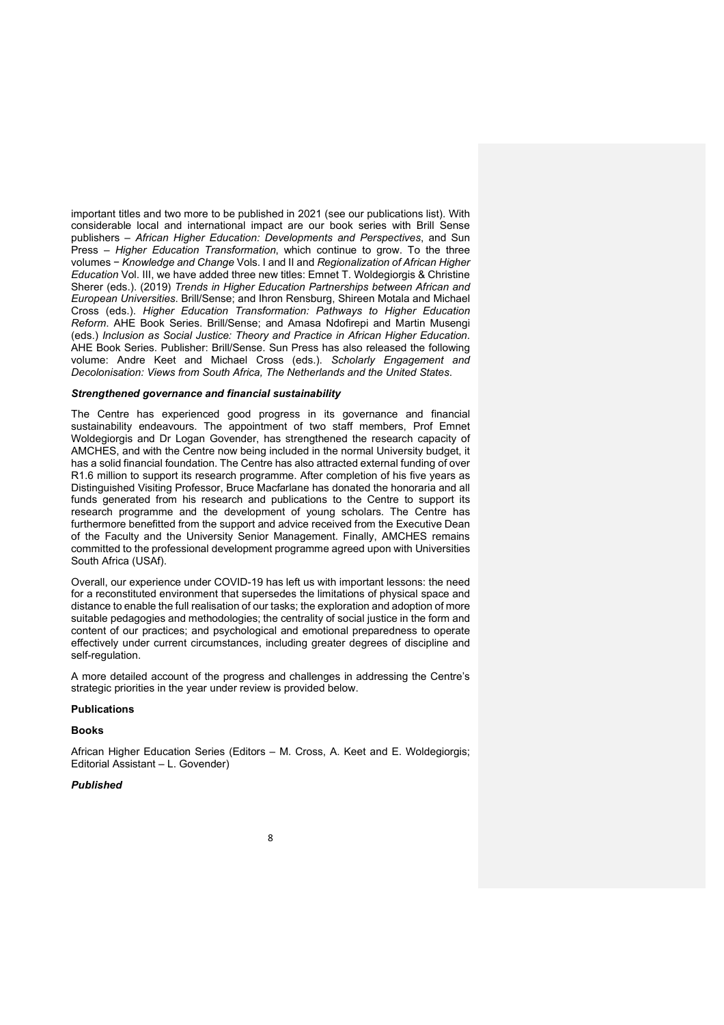important titles and two more to be published in 2021 (see our publications list). With considerable local and international impact are our book series with Brill Sense publishers – *African Higher Education: Developments and Perspectives*, and Sun Press – *Higher Education Transformation*, which continue to grow. To the three volumes − *Knowledge and Change* Vols. I and II and *Regionalization of African Higher Education* Vol. III, we have added three new titles: Emnet T. Woldegiorgis & Christine Sherer (eds.). (2019) *Trends in Higher Education Partnerships between African and European Universities*. Brill/Sense; and Ihron Rensburg, Shireen Motala and Michael Cross (eds.). *Higher Education Transformation: Pathways to Higher Education Reform*. AHE Book Series. Brill/Sense; and Amasa Ndofirepi and Martin Musengi (eds.) *Inclusion as Social Justice: Theory and Practice in African Higher Education*. AHE Book Series. Publisher: Brill/Sense. Sun Press has also released the following volume: Andre Keet and Michael Cross (eds.). *Scholarly Engagement and Decolonisation: Views from South Africa, The Netherlands and the United States*.

## *Strengthened governance and financial sustainability*

The Centre has experienced good progress in its governance and financial sustainability endeavours. The appointment of two staff members, Prof Emnet Woldegiorgis and Dr Logan Govender, has strengthened the research capacity of AMCHES, and with the Centre now being included in the normal University budget, it has a solid financial foundation. The Centre has also attracted external funding of over R1.6 million to support its research programme. After completion of his five years as Distinguished Visiting Professor, Bruce Macfarlane has donated the honoraria and all funds generated from his research and publications to the Centre to support its research programme and the development of young scholars. The Centre has furthermore benefitted from the support and advice received from the Executive Dean of the Faculty and the University Senior Management. Finally, AMCHES remains committed to the professional development programme agreed upon with Universities South Africa (USAf).

Overall, our experience under COVID-19 has left us with important lessons: the need for a reconstituted environment that supersedes the limitations of physical space and distance to enable the full realisation of our tasks; the exploration and adoption of more suitable pedagogies and methodologies; the centrality of social justice in the form and content of our practices; and psychological and emotional preparedness to operate effectively under current circumstances, including greater degrees of discipline and self-regulation.

A more detailed account of the progress and challenges in addressing the Centre's strategic priorities in the year under review is provided below.

#### **Publications**

#### **Books**

African Higher Education Series (Editors – M. Cross, A. Keet and E. Woldegiorgis; Editorial Assistant – L. Govender)

## *Published*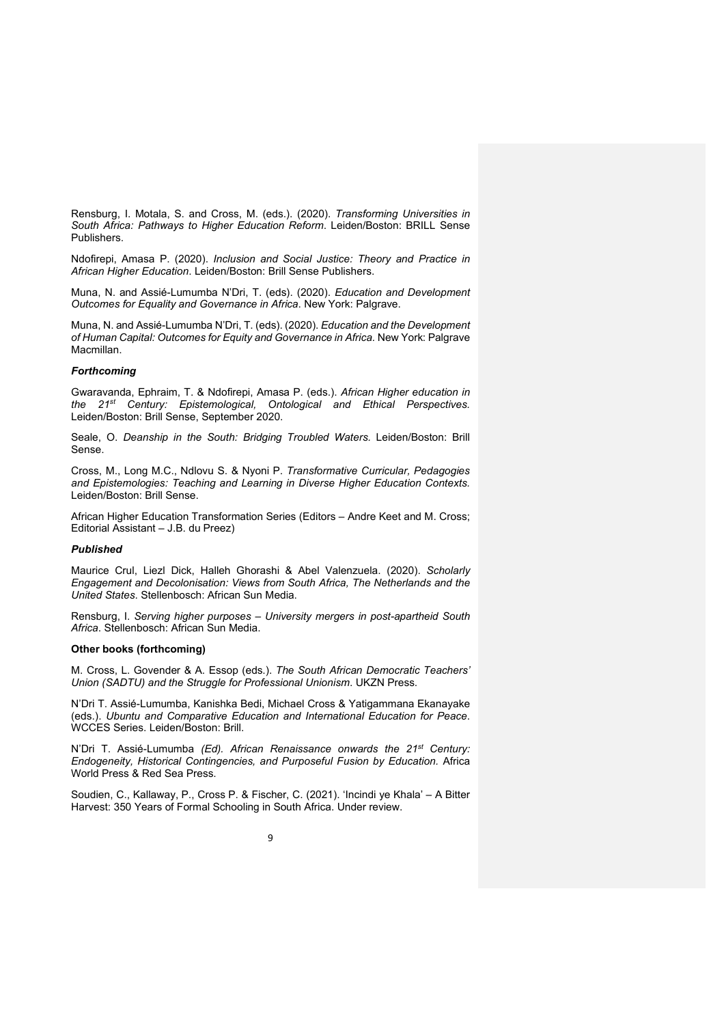Rensburg, I. Motala, S. and Cross, M. (eds.). (2020). *Transforming Universities in South Africa: Pathways to Higher Education Reform*. Leiden/Boston: BRILL Sense Publishers.

Ndofirepi, Amasa P. (2020). *Inclusion and Social Justice: Theory and Practice in African Higher Education*. Leiden/Boston: Brill Sense Publishers.

Muna, N. and Assié-Lumumba N'Dri, T. (eds). (2020). *Education and Development Outcomes for Equality and Governance in Africa*. New York: Palgrave.

Muna, N. and Assié-Lumumba N'Dri, T. (eds). (2020). *Education and the Development of Human Capital: Outcomes for Equity and Governance in Africa.* New York: Palgrave Macmillan.

#### *Forthcoming*

Gwaravanda, Ephraim, T. & Ndofirepi, Amasa P. (eds.). *African Higher education in the 21st Century: Epistemological, Ontological and Ethical Perspectives.* Leiden/Boston: Brill Sense, September 2020.

Seale, O. *Deanship in the South: Bridging Troubled Waters.* Leiden/Boston: Brill Sense.

Cross, M., Long M.C., Ndlovu S. & Nyoni P. *Transformative Curricular, Pedagogies and Epistemologies: Teaching and Learning in Diverse Higher Education Contexts.* Leiden/Boston: Brill Sense.

African Higher Education Transformation Series (Editors – Andre Keet and M. Cross; Editorial Assistant – J.B. du Preez)

#### *Published*

Maurice Crul, Liezl Dick, Halleh Ghorashi & Abel Valenzuela. (2020). *Scholarly Engagement and Decolonisation: Views from South Africa, The Netherlands and the United States*. Stellenbosch: African Sun Media.

Rensburg, I. *Serving higher purposes* – *University mergers in post-apartheid South Africa*. Stellenbosch: African Sun Media.

#### **Other books (forthcoming)**

M. Cross, L. Govender & A. Essop (eds.). *The South African Democratic Teachers' Union (SADTU) and the Struggle for Professional Unionism*. UKZN Press.

N'Dri T. Assié-Lumumba, Kanishka Bedi, Michael Cross & Yatigammana Ekanayake (eds.). *Ubuntu and Comparative Education and International Education for Peace*. WCCES Series. Leiden/Boston: Brill.

N'Dri T. Assié-Lumumba *(Ed). African Renaissance onwards the 21st Century: Endogeneity, Historical Contingencies, and Purposeful Fusion by Education.* Africa World Press & Red Sea Press.

Soudien, C., Kallaway, P., Cross P. & Fischer, C. (2021). 'Incindi ye Khala' – A Bitter Harvest: 350 Years of Formal Schooling in South Africa. Under review.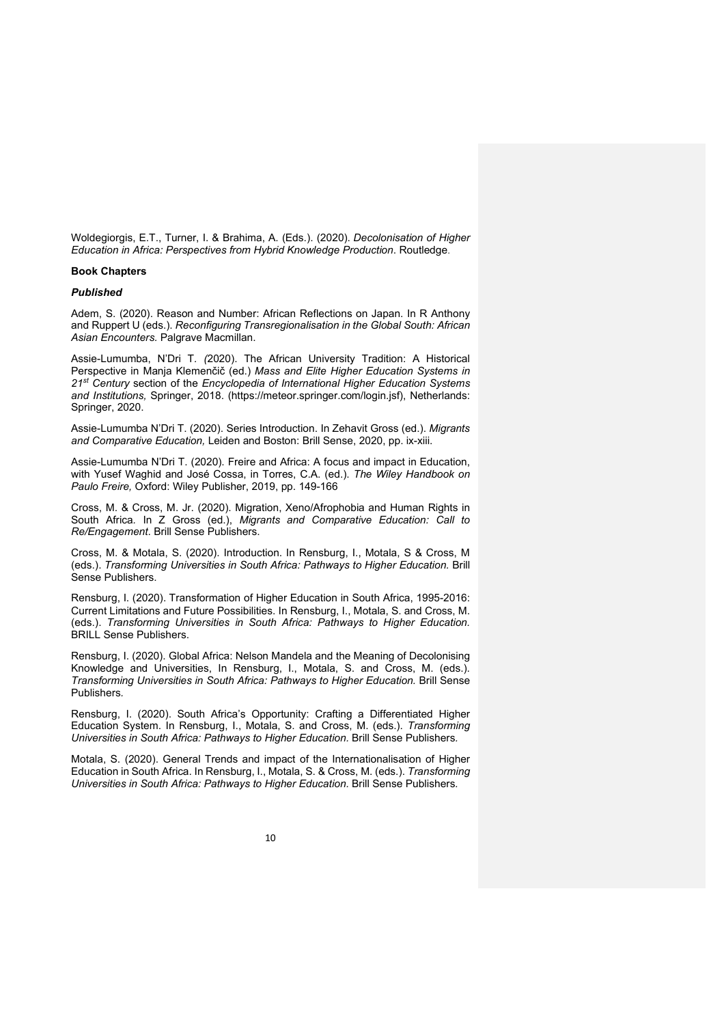Woldegiorgis, E.T., Turner, I. & Brahima, A. (Eds.). (2020). *Decolonisation of Higher Education in Africa: Perspectives from Hybrid Knowledge Production*. Routledge.

## **Book Chapters**

## *Published*

Adem, S. (2020). Reason and Number: African Reflections on Japan. In R Anthony and Ruppert U (eds.). *Reconfiguring Transregionalisation in the Global South: African Asian Encounters.* Palgrave Macmillan.

Assie-Lumumba, N'Dri T*. (*2020). The African University Tradition: A Historical Perspective in Manja Klemenčič (ed.) *Mass and Elite Higher Education Systems in 21st Century* section of the *Encyclopedia of International Higher Education Systems and Institutions,* Springer, 2018. (https://meteor.springer.com/login.jsf), Netherlands: Springer, 2020.

Assie-Lumumba N'Dri T. (2020). Series Introduction. In Zehavit Gross (ed.). *Migrants and Comparative Education,* Leiden and Boston: Brill Sense, 2020, pp. ix-xiii.

Assie-Lumumba N'Dri T. (2020). Freire and Africa: A focus and impact in Education, with Yusef Waghid and José Cossa, in Torres, C.A. (ed.). *The Wiley Handbook on Paulo Freire,* Oxford: Wiley Publisher, 2019, pp. 149-166

Cross, M. & Cross, M. Jr. (2020). Migration, Xeno/Afrophobia and Human Rights in South Africa*.* In Z Gross (ed.), *Migrants and Comparative Education: Call to Re/Engagement*. Brill Sense Publishers.

Cross, M. & Motala, S. (2020). Introduction. In Rensburg, I., Motala, S & Cross, M (eds.). *Transforming Universities in South Africa: Pathways to Higher Education.* Brill Sense Publishers.

Rensburg, I. (2020). Transformation of Higher Education in South Africa, 1995-2016: Current Limitations and Future Possibilities. In Rensburg, I., Motala, S. and Cross, M. (eds.). *Transforming Universities in South Africa: Pathways to Higher Education.* BRILL Sense Publishers.

Rensburg, I. (2020). Global Africa: Nelson Mandela and the Meaning of Decolonising Knowledge and Universities, In Rensburg, I., Motala, S. and Cross, M. (eds.). *Transforming Universities in South Africa: Pathways to Higher Education.* Brill Sense Publishers*.*

Rensburg, I. (2020). South Africa's Opportunity: Crafting a Differentiated Higher Education System. In Rensburg, I., Motala, S. and Cross, M. (eds.). *Transforming Universities in South Africa: Pathways to Higher Education.* Brill Sense Publishers*.*

Motala, S. (2020). General Trends and impact of the Internationalisation of Higher Education in South Africa. In Rensburg, I., Motala, S. & Cross, M. (eds.). *Transforming Universities in South Africa: Pathways to Higher Education.* Brill Sense Publishers*.*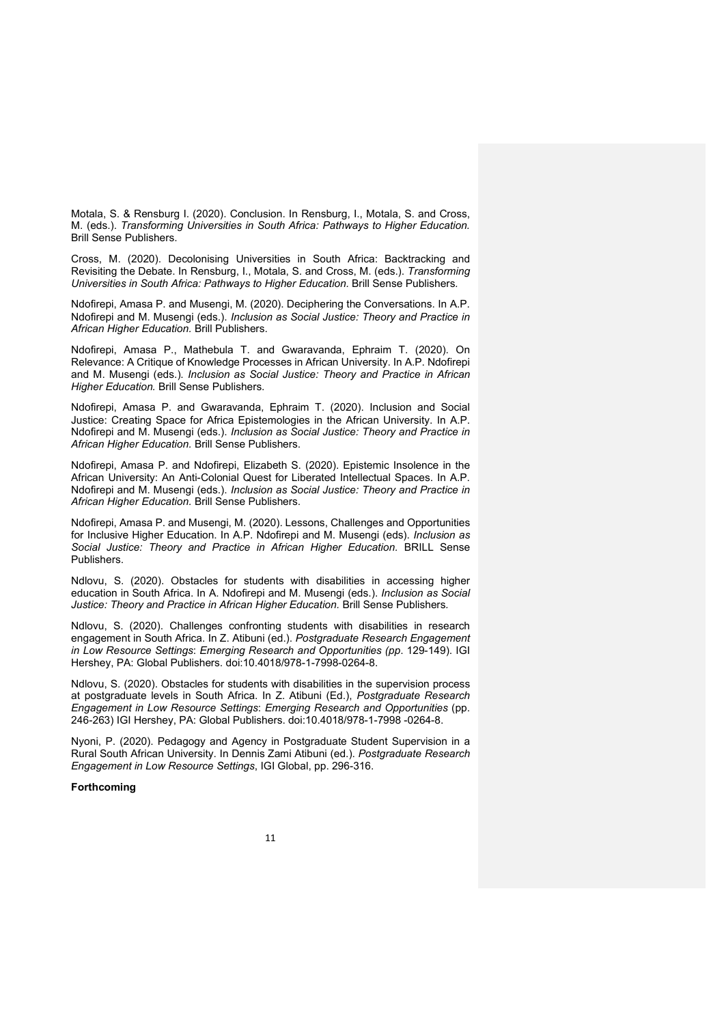Motala, S. & Rensburg I. (2020). Conclusion. In Rensburg, I., Motala, S. and Cross, M. (eds.). *Transforming Universities in South Africa: Pathways to Higher Education.* Brill Sense Publishers.

Cross, M. (2020). Decolonising Universities in South Africa: Backtracking and Revisiting the Debate. In Rensburg, I., Motala, S. and Cross, M. (eds.). *Transforming Universities in South Africa: Pathways to Higher Education.* Brill Sense Publishers*.*

Ndofirepi, Amasa P. and Musengi, M. (2020). Deciphering the Conversations. In A.P. Ndofirepi and M. Musengi (eds.). *Inclusion as Social Justice: Theory and Practice in African Higher Education.* Brill Publishers.

Ndofirepi, Amasa P., Mathebula T. and Gwaravanda, Ephraim T. (2020). On Relevance: A Critique of Knowledge Processes in African University. In A.P. Ndofirepi and M. Musengi (eds.). *Inclusion as Social Justice: Theory and Practice in African Higher Education.* Brill Sense Publishers.

Ndofirepi, Amasa P. and Gwaravanda, Ephraim T. (2020). Inclusion and Social Justice: Creating Space for Africa Epistemologies in the African University. In A.P. Ndofirepi and M. Musengi (eds.). *Inclusion as Social Justice: Theory and Practice in African Higher Education.* Brill Sense Publishers.

Ndofirepi, Amasa P. and Ndofirepi, Elizabeth S. (2020). Epistemic Insolence in the African University: An Anti-Colonial Quest for Liberated Intellectual Spaces. In A.P. Ndofirepi and M. Musengi (eds.). *Inclusion as Social Justice: Theory and Practice in African Higher Education.* Brill Sense Publishers.

Ndofirepi, Amasa P. and Musengi, M. (2020). Lessons, Challenges and Opportunities for Inclusive Higher Education. In A.P. Ndofirepi and M. Musengi (eds). *Inclusion as Social Justice: Theory and Practice in African Higher Education.* BRILL Sense Publishers.

Ndlovu, S. (2020). Obstacles for students with disabilities in accessing higher education in South Africa. In A. Ndofirepi and M. Musengi (eds.). *Inclusion as Social Justice: Theory and Practice in African Higher Education.* Brill Sense Publishers*.*

Ndlovu, S. (2020). Challenges confronting students with disabilities in research engagement in South Africa. In Z. Atibuni (ed.). *Postgraduate Research Engagement in Low Resource Settings*: *Emerging Research and Opportunities (pp*. 129-149). IGI Hershey, PA: Global Publishers. doi:10.4018/978-1-7998-0264-8.

Ndlovu, S. (2020). Obstacles for students with disabilities in the supervision process at postgraduate levels in South Africa. In Z. Atibuni (Ed.), *Postgraduate Research Engagement in Low Resource Settings*: *Emerging Research and Opportunities* (pp. 246-263) IGI Hershey, PA: Global Publishers. doi:10.4018/978-1-7998 -0264-8.

Nyoni, P. (2020). Pedagogy and Agency in Postgraduate Student Supervision in a Rural South African University. In Dennis Zami Atibuni (ed.). *Postgraduate Research Engagement in Low Resource Settings*, IGI Global, pp. 296-316.

## **Forthcoming**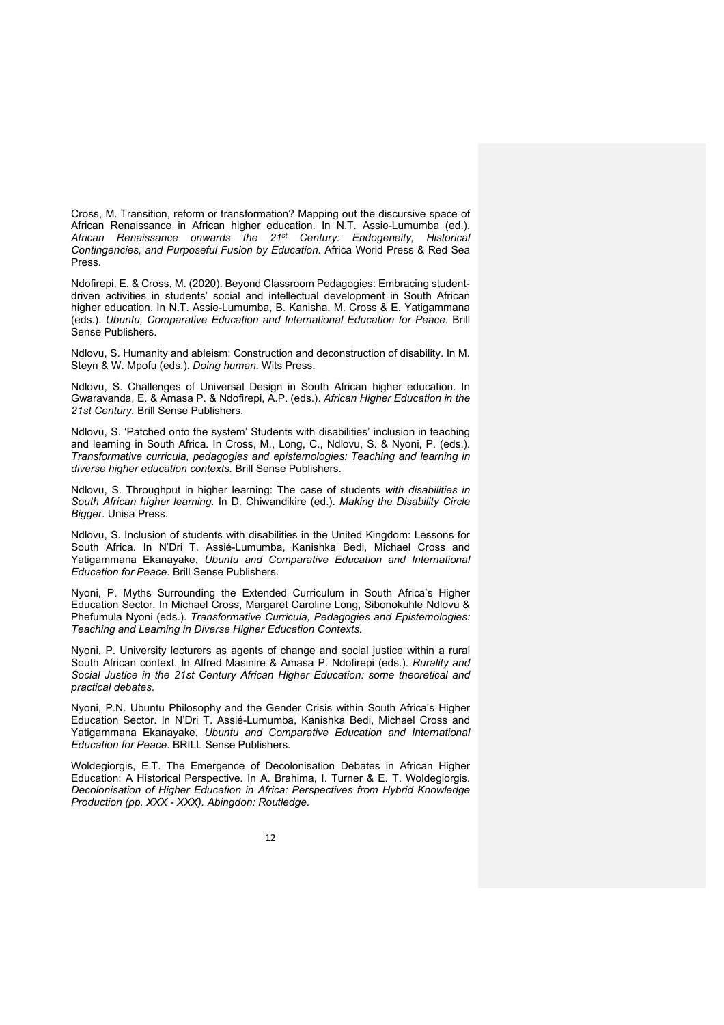Cross, M. Transition, reform or transformation? Mapping out the discursive space of African Renaissance in African higher education. In N.T. Assie-Lumumba (ed.). *African Renaissance onwards the 21st Century: Endogeneity, Historical Contingencies, and Purposeful Fusion by Education.* Africa World Press & Red Sea Press.

Ndofirepi, E. & Cross, M. (2020). Beyond Classroom Pedagogies: Embracing studentdriven activities in students' social and intellectual development in South African higher education. In N.T. Assie-Lumumba, B. Kanisha, M. Cross & E. Yatigammana (eds.). *Ubuntu, Comparative Education and International Education for Peace.* Brill Sense Publishers.

Ndlovu, S. Humanity and ableism: Construction and deconstruction of disability. In M. Steyn & W. Mpofu (eds.). *Doing human.* Wits Press.

Ndlovu, S. Challenges of Universal Design in South African higher education. In Gwaravanda, E. & Amasa P. & Ndofirepi, A.P. (eds.). *African Higher Education in the 21st Century.* Brill Sense Publishers.

Ndlovu, S. 'Patched onto the system' Students with disabilities' inclusion in teaching and learning in South Africa. In Cross, M., Long, C., Ndlovu, S. & Nyoni, P. (eds.). *Transformative curricula, pedagogies and epistemologies: Teaching and learning in diverse higher education contexts.* Brill Sense Publishers.

Ndlovu, S. Throughput in higher learning: The case of students *with disabilities in South African higher learning.* In D. Chiwandikire (ed.). *Making the Disability Circle Bigger*. Unisa Press.

Ndlovu, S. Inclusion of students with disabilities in the United Kingdom: Lessons for South Africa. In N'Dri T. Assié-Lumumba, Kanishka Bedi, Michael Cross and Yatigammana Ekanayake, *Ubuntu and Comparative Education and International Education for Peace*. Brill Sense Publishers.

Nyoni, P. Myths Surrounding the Extended Curriculum in South Africa's Higher Education Sector. In Michael Cross, Margaret Caroline Long, Sibonokuhle Ndlovu & Phefumula Nyoni (eds.). *Transformative Curricula, Pedagogies and Epistemologies: Teaching and Learning in Diverse Higher Education Contexts*.

Nyoni, P. University lecturers as agents of change and social justice within a rural South African context. In Alfred Masinire & Amasa P. Ndofirepi (eds.). *Rurality and Social Justice in the 21st Century African Higher Education: some theoretical and practical debates*.

Nyoni, P.N. Ubuntu Philosophy and the Gender Crisis within South Africa's Higher Education Sector. In N'Dri T. Assié-Lumumba, Kanishka Bedi, Michael Cross and Yatigammana Ekanayake, *Ubuntu and Comparative Education and International Education for Peace*. BRILL Sense Publishers.

Woldegiorgis, E.T. The Emergence of Decolonisation Debates in African Higher Education: A Historical Perspective. In A. Brahima, I. Turner & E. T. Woldegiorgis. *Decolonisation of Higher Education in Africa: Perspectives from Hybrid Knowledge Production (pp. XXX - XXX). Abingdon: Routledge.*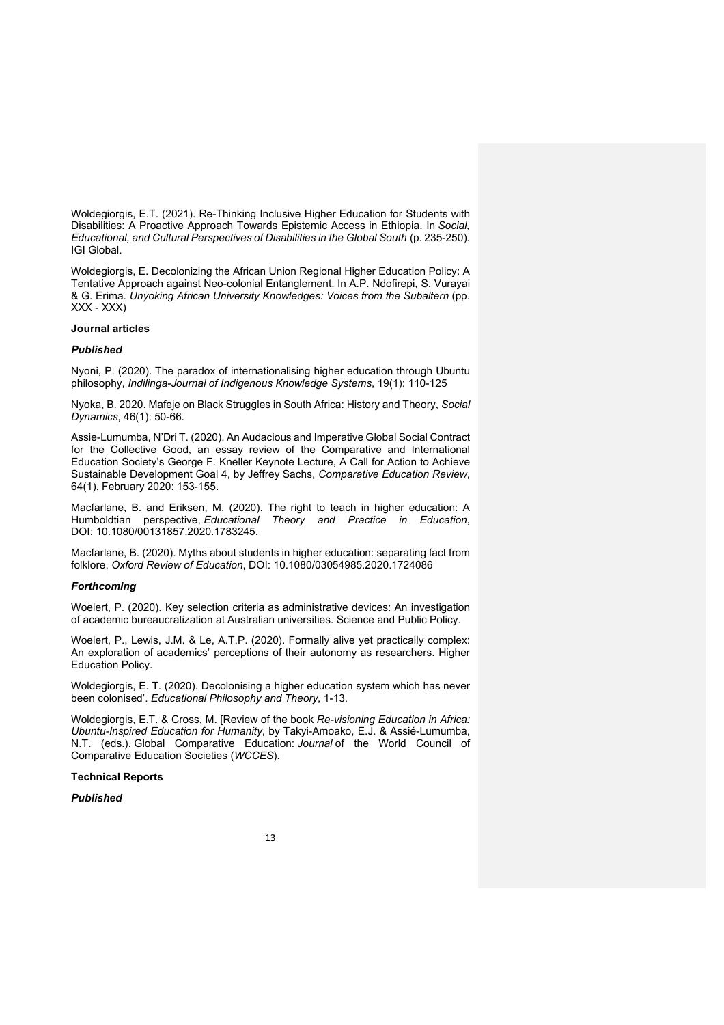Woldegiorgis, E.T. (2021). Re-Thinking Inclusive Higher Education for Students with Disabilities: A Proactive Approach Towards Epistemic Access in Ethiopia. In *Social, Educational, and Cultural Perspectives of Disabilities in the Global South* (p. 235-250). IGI Global.

Woldegiorgis, E. Decolonizing the African Union Regional Higher Education Policy: A Tentative Approach against Neo-colonial Entanglement. In A.P. Ndofirepi, S. Vurayai & G. Erima. *Unyoking African University Knowledges: Voices from the Subaltern* (pp. XXX - XXX)

## **Journal articles**

#### *Published*

Nyoni, P. (2020). The paradox of internationalising higher education through Ubuntu philosophy, *Indilinga-Journal of Indigenous Knowledge Systems*, 19(1): 110-125

Nyoka, B. 2020. Mafeje on Black Struggles in South Africa: History and Theory, *Social Dynamics*, 46(1): 50-66.

Assie-Lumumba, N'Dri T. (2020). An Audacious and Imperative Global Social Contract for the Collective Good, an essay review of the Comparative and International Education Society's George F. Kneller Keynote Lecture, A Call for Action to Achieve Sustainable Development Goal 4, by Jeffrey Sachs, *Comparative Education Review*, 64(1), February 2020: 153-155.

Macfarlane, B. and Eriksen, M. (2020). The right to teach in higher education: A Humboldtian perspective, *Educational Theory and Practice in Education*, DOI: 10.1080/00131857.2020.1783245.

Macfarlane, B. (2020). Myths about students in higher education: separating fact from folklore, *Oxford Review of Education*, DOI: 10.1080/03054985.2020.1724086

#### *Forthcoming*

Woelert, P. (2020). Key selection criteria as administrative devices: An investigation of academic bureaucratization at Australian universities. Science and Public Policy.

Woelert, P., Lewis, J.M. & Le, A.T.P. (2020). Formally alive yet practically complex: An exploration of academics' perceptions of their autonomy as researchers. Higher Education Policy.

Woldegiorgis, E. T. (2020). Decolonising a higher education system which has never been colonised'. *Educational Philosophy and Theory*, 1-13.

Woldegiorgis, E.T. & Cross, M. [Review of the book *Re-visioning Education in Africa: Ubuntu-Inspired Education for Humanity*, by Takyi-Amoako, E.J. & Assié-Lumumba, N.T. (eds.). Global Comparative Education: *Journal* of the World Council of Comparative Education Societies (*WCCES*).

#### **Technical Reports**

## *Published*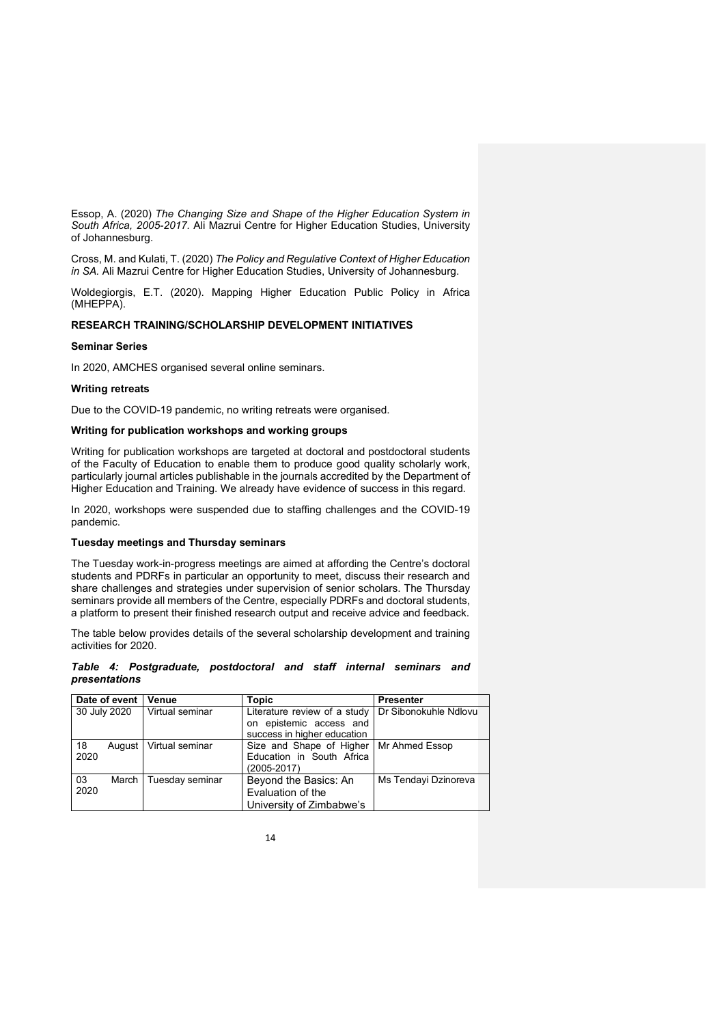Essop, A. (2020) *The Changing Size and Shape of the Higher Education System in South Africa, 2005-2017.* Ali Mazrui Centre for Higher Education Studies, University of Johannesburg.

Cross, M. and Kulati, T. (2020) *The Policy and Regulative Context of Higher Education in SA.* Ali Mazrui Centre for Higher Education Studies, University of Johannesburg.

Woldegiorgis, E.T. (2020). Mapping Higher Education Public Policy in Africa (MHEPPA).

## **RESEARCH TRAINING/SCHOLARSHIP DEVELOPMENT INITIATIVES**

#### **Seminar Series**

In 2020, AMCHES organised several online seminars.

#### **Writing retreats**

Due to the COVID-19 pandemic, no writing retreats were organised.

## **Writing for publication workshops and working groups**

Writing for publication workshops are targeted at doctoral and postdoctoral students of the Faculty of Education to enable them to produce good quality scholarly work, particularly journal articles publishable in the journals accredited by the Department of Higher Education and Training. We already have evidence of success in this regard.

In 2020, workshops were suspended due to staffing challenges and the COVID-19 pandemic.

#### **Tuesday meetings and Thursday seminars**

The Tuesday work-in-progress meetings are aimed at affording the Centre's doctoral students and PDRFs in particular an opportunity to meet, discuss their research and share challenges and strategies under supervision of senior scholars. The Thursday seminars provide all members of the Centre, especially PDRFs and doctoral students, a platform to present their finished research output and receive advice and feedback.

The table below provides details of the several scholarship development and training activities for 2020.

#### *Table 4: Postgraduate, postdoctoral and staff internal seminars and presentations*

| Date of event<br>∣ Venue        |                          | <b>Topic</b>                                                                           | <b>Presenter</b>      |
|---------------------------------|--------------------------|----------------------------------------------------------------------------------------|-----------------------|
| Virtual seminar<br>30 July 2020 |                          | Literature review of a study<br>on epistemic access and<br>success in higher education | Dr Sibonokuhle Ndlovu |
| 18<br>2020                      | August   Virtual seminar | Size and Shape of Higher   Mr Ahmed Essop<br>Education in South Africa<br>(2005-2017)  |                       |
| 03<br>March<br>2020             | Tuesday seminar          | Beyond the Basics: An<br>Evaluation of the<br>University of Zimbabwe's                 | Ms Tendayi Dzinoreva  |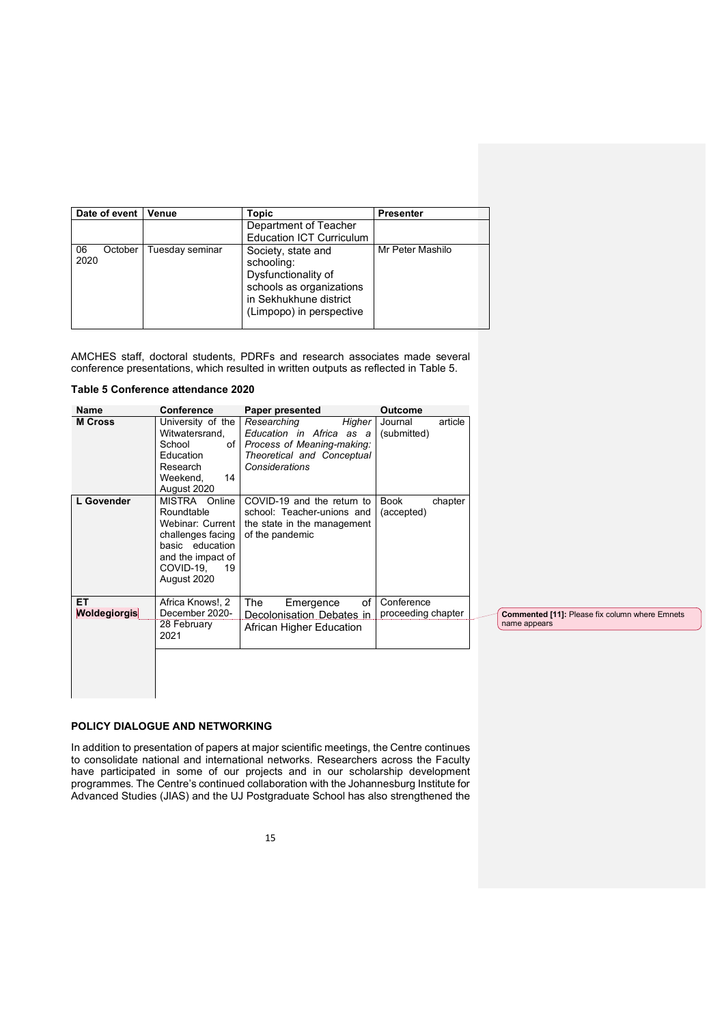| Date of event<br>Venue |                 | Topic                                                                                                                                     | <b>Presenter</b> |
|------------------------|-----------------|-------------------------------------------------------------------------------------------------------------------------------------------|------------------|
|                        |                 | Department of Teacher<br><b>Education ICT Curriculum</b>                                                                                  |                  |
| 06<br>October<br>2020  | Tuesday seminar | Society, state and<br>schooling:<br>Dysfunctionality of<br>schools as organizations<br>in Sekhukhune district<br>(Limpopo) in perspective | Mr Peter Mashilo |

AMCHES staff, doctoral students, PDRFs and research associates made several conference presentations, which resulted in written outputs as reflected in Table 5.

#### **Table 5 Conference attendance 2020**

| Name                       | Conference                                                                                                                                     | Paper presented                                                                                                                    | <b>Outcome</b>                    |                                                                |
|----------------------------|------------------------------------------------------------------------------------------------------------------------------------------------|------------------------------------------------------------------------------------------------------------------------------------|-----------------------------------|----------------------------------------------------------------|
| <b>M</b> Cross             | University of the<br>Witwatersrand,<br>School<br>Education<br>Research<br>14<br>Weekend,<br>August 2020                                        | Researching<br>Higher<br>Education in Africa as a<br>of Process of Meaning-making:<br>Theoretical and Conceptual<br>Considerations | article<br>Journal<br>(submitted) |                                                                |
| L Govender                 | MISTRA Online<br>Roundtable<br>Webinar: Current<br>challenges facing<br>basic education<br>and the impact of<br>COVID-19,<br>19<br>August 2020 | COVID-19 and the return to<br>school: Teacher-unions and<br>the state in the management<br>of the pandemic                         | Book<br>chapter<br>(accepted)     |                                                                |
| ET.<br><b>Woldegiorgis</b> | Africa Knows!, 2<br>December 2020-<br>28 February<br>2021                                                                                      | The<br>of<br>Emergence<br>Decolonisation Debates in<br>African Higher Education                                                    | Conference<br>proceeding chapter  | Commented [11]: Please fix column where Emnets<br>name appears |

# **POLICY DIALOGUE AND NETWORKING**

In addition to presentation of papers at major scientific meetings, the Centre continues to consolidate national and international networks. Researchers across the Faculty have participated in some of our projects and in our scholarship development programmes. The Centre's continued collaboration with the Johannesburg Institute for Advanced Studies (JIAS) and the UJ Postgraduate School has also strengthened the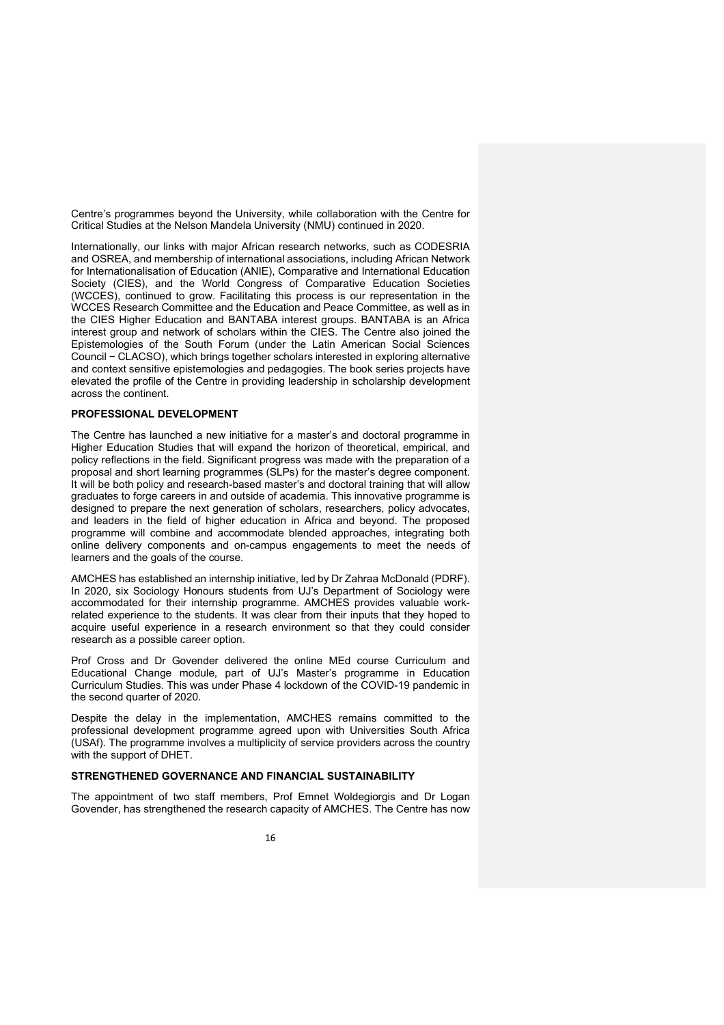Centre's programmes beyond the University, while collaboration with the Centre for Critical Studies at the Nelson Mandela University (NMU) continued in 2020.

Internationally, our links with major African research networks, such as CODESRIA and OSREA, and membership of international associations, including African Network for Internationalisation of Education (ANIE), Comparative and International Education Society (CIES), and the World Congress of Comparative Education Societies (WCCES), continued to grow. Facilitating this process is our representation in the WCCES Research Committee and the Education and Peace Committee, as well as in the CIES Higher Education and BANTABA interest groups. BANTABA is an Africa interest group and network of scholars within the CIES. The Centre also joined the Epistemologies of the South Forum (under the Latin American Social Sciences Council − CLACSO), which brings together scholars interested in exploring alternative and context sensitive epistemologies and pedagogies. The book series projects have elevated the profile of the Centre in providing leadership in scholarship development across the continent.

## **PROFESSIONAL DEVELOPMENT**

The Centre has launched a new initiative for a master's and doctoral programme in Higher Education Studies that will expand the horizon of theoretical, empirical, and policy reflections in the field. Significant progress was made with the preparation of a proposal and short learning programmes (SLPs) for the master's degree component. It will be both policy and research-based master's and doctoral training that will allow graduates to forge careers in and outside of academia. This innovative programme is designed to prepare the next generation of scholars, researchers, policy advocates, and leaders in the field of higher education in Africa and beyond. The proposed programme will combine and accommodate blended approaches, integrating both online delivery components and on-campus engagements to meet the needs of learners and the goals of the course.

AMCHES has established an internship initiative, led by Dr Zahraa McDonald (PDRF). In 2020, six Sociology Honours students from UJ's Department of Sociology were accommodated for their internship programme. AMCHES provides valuable workrelated experience to the students. It was clear from their inputs that they hoped to acquire useful experience in a research environment so that they could consider research as a possible career option.

Prof Cross and Dr Govender delivered the online MEd course Curriculum and Educational Change module, part of UJ's Master's programme in Education Curriculum Studies. This was under Phase 4 lockdown of the COVID-19 pandemic in the second quarter of 2020.

Despite the delay in the implementation, AMCHES remains committed to the professional development programme agreed upon with Universities South Africa (USAf). The programme involves a multiplicity of service providers across the country with the support of DHET.

#### **STRENGTHENED GOVERNANCE AND FINANCIAL SUSTAINABILITY**

The appointment of two staff members, Prof Emnet Woldegiorgis and Dr Logan Govender, has strengthened the research capacity of AMCHES. The Centre has now